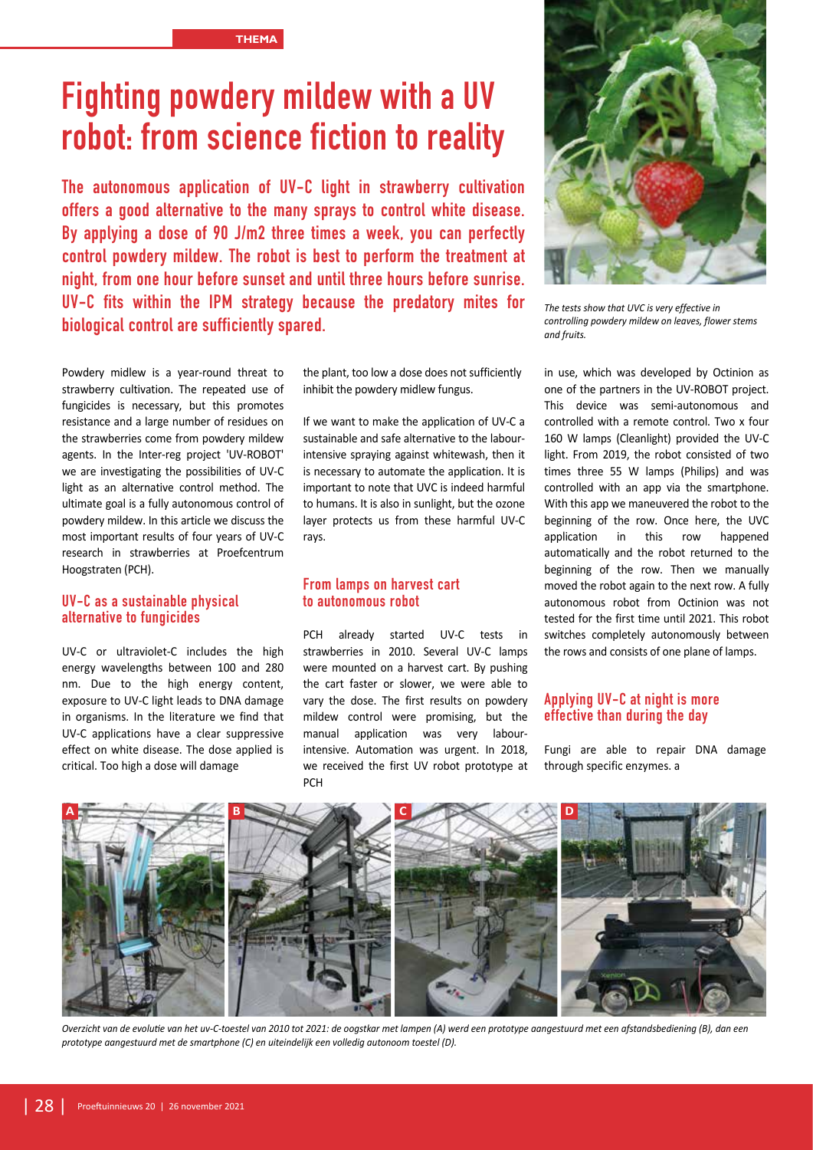# **Fighting powdery mildew with a UV robot: from science fiction to reality**

**The autonomous application of UV-C light in strawberry cultivation offers a good alternative to the many sprays to control white disease. By applying a dose of 90 J/m2 three times a week, you can perfectly control powdery mildew. The robot is best to perform the treatment at night, from one hour before sunset and until three hours before sunrise. UV-C fits within the IPM strategy because the predatory mites for biological control are sufficiently spared.**

Powdery midlew is a year-round threat to strawberry cultivation. The repeated use of fungicides is necessary, but this promotes resistance and a large number of residues on the strawberries come from powdery mildew agents. In the Inter-reg project 'UV-ROBOT' we are investigating the possibilities of UV-C light as an alternative control method. The ultimate goal is a fully autonomous control of powdery mildew. In this article we discuss the most important results of four years of UV-C research in strawberries at Proefcentrum Hoogstraten (PCH).

## **UV-C as a sustainable physical alternative to fungicides**

UV-C or ultraviolet-C includes the high energy wavelengths between 100 and 280 nm. Due to the high energy content, exposure to UV-C light leads to DNA damage in organisms. In the literature we find that UV-C applications have a clear suppressive effect on white disease. The dose applied is critical. Too high a dose will damage

the plant, too low a dose does not sufficiently inhibit the powdery midlew fungus.

If we want to make the application of UV-C a sustainable and safe alternative to the labourintensive spraying against whitewash, then it is necessary to automate the application. It is important to note that UVC is indeed harmful to humans. It is also in sunlight, but the ozone layer protects us from these harmful UV-C rays.

## **From lamps on harvest cart to autonomous robot**

PCH already started UV-C tests in strawberries in 2010. Several UV-C lamps were mounted on a harvest cart. By pushing the cart faster or slower, we were able to vary the dose. The first results on powdery mildew control were promising, but the manual application was very labourintensive. Automation was urgent. In 2018, we received the first UV robot prototype at PCH



*The tests show that UVC is very effective in controlling powdery mildew on leaves, flower stems and fruits.*

in use, which was developed by Octinion as one of the partners in the UV-ROBOT project. This device was semi-autonomous and controlled with a remote control. Two x four 160 W lamps (Cleanlight) provided the UV-C light. From 2019, the robot consisted of two times three 55 W lamps (Philips) and was controlled with an app via the smartphone. With this app we maneuvered the robot to the beginning of the row. Once here, the UVC application in this row happened automatically and the robot returned to the beginning of the row. Then we manually moved the robot again to the next row. A fully autonomous robot from Octinion was not tested for the first time until 2021. This robot switches completely autonomously between the rows and consists of one plane of lamps.

## **Applying UV-C at night is more effective than during the day**

Fungi are able to repair DNA damage through specific enzymes. a



*Overzicht van de evolutie van het uv-C-toestel van 2010 tot 2021: de oogstkar met lampen (A) werd een prototype aangestuurd met een afstandsbediening (B), dan een prototype aangestuurd met de smartphone (C) en uiteindelijk een volledig autonoom toestel (D).*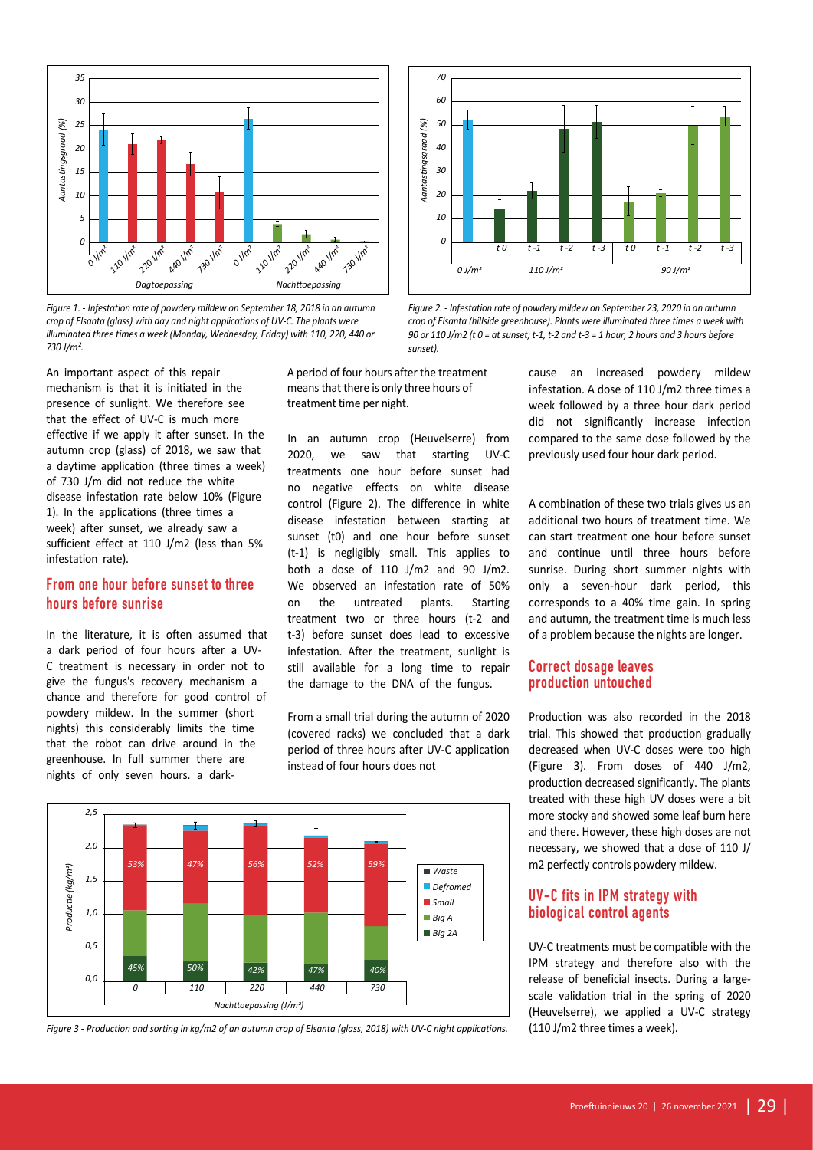

/30J/m<sup>2</sup>.<br>An important aspect of this repair **1898 1898 A** period of fou *2,0 730 J/m². 2,5 crop of Elsanta (glass) with day and night applications of UV-C. The plants were Figure 1. - Infestation rate of powdery mildew on September 18, 2018 in an autumn illuminated three times a week (Monday, Wednesday, Friday) with 110, 220, 440 or* 

mechanism is that it is initiated in the *1,5* presence of sunlight. We therefore see that the effect of UV-C is much more effective if we apply it after sunset. In the autumn crop (glass) of 2018, we saw that a daytime application (three times a week) trea of 730 J/m did not reduce the white *0,0* disease infestation rate below 10% (Figure 110 1). In the applications (three times a week) after sunset, we already saw a sufficient effect at 110 J/m2 (less than 5%<br>infestation rate). sumcient enect<br>infestation rate). i<br>Production<br>Production *28/mei* ortant aspect of this repair and position in the mean ee of sunlight. We therefore see<br> **42 a** ee effect of UV-C is much more<br> **42 a** effect of UV-C is much more<br> **42 a** ei fi we apply it after sunset. In the ln<br> **42 a** cr

#### **From one hour before sunset to three**  *10* **hours before sunrise** *20 30*

In the literature, it is often assumed that *40* a dark period of four hours after a UV-*60* C treatment is necessary in order not to *70* give the fungus's recovery mechanism a *80* chance and therefore for good control of *90* powdery mildew. In the summer (short nights) this considerably limits the time that the robot can drive around in the greenhouse. In full summer there are nights of only seven hours. a dark-*50* **pr**<br>bianten<br>re For enterprise that interprise that<br> **one hour before sunset to the before sunrise**<br> **literature**, it is often assume<br>
period of four hours after a<br>
timent is necessary in order interprise fungus's recovery mechanis **Planticulary 19 Superior Control** the literature, it is often assumed that t-3) before sun<br>lark period of four hours after a UV-<br>reatment is necessary in order not to still available to<br>the fungus's recovery mechanism a

A period of four hours after the treatment *Afval* means that there is only three hours of treatment time per night. *Klein*

In an autumn crop (Heuvelserre) from *Groot 2A Groot AGroot 2A*2020, we saw that starting UV-C treatments one hour before sunset had no negative effects on white disease control (Figure 2). The difference in white disease infestation between starting at sunset (t0) and one hour before sunset *4/<sub>1</sub>* is negligibly small. This applies to  $\frac{1}{2}$ **both a dose of 110 J/m2 and 90 J/m2.** We observed an infestation rate of 50% *90 10* on the untreated plants. Starting treatment two or three hours (t-2 and *70 30* t-3) before sunset does lead to excessive *50* infestation. After the treatment, sunlight is *40 60* still available for a long time to repair the damage to the DNA of the fungus. *60 Planten met roofmijten (%) 20 40 50 Planten met trips (%)* e<br>.<br><sub>20</sub><br><sub>20</sub> *70300***30001036**<br>*70300***<b>30001036 Frame and alternal conceptions of a lost time gaint in Sp<br>
<b>Frame and to excessive** of a problem because the nights are long<br> **Solution** methods of a problem because the nights are long<br>
time to repair **Correct dosage lea** 

> From a small trial during the autumn of 2020 *0 100 I* the time  $(covered$  racks) we concluded that a dark <sup>Ind in the</sup> period of three hours after UV-C application decreased wh instead of four hours does not



*Figure 3 - Production and sorting in kg/m2 of an autumn crop of Elsanta (glass, 2018) with UV-C night applications.*



*Figure 2. - Infestation rate of powdery mildew on September 23, 2020 in an autumn crop of Elsanta (hillside greenhouse). Plants were illuminated three times a week with 90 or 110 J/m2 (t 0 = at sunset; t-1, t-2 and t-3 = 1 hour, 2 hours and 3 hours before sunset).*

cause an increased powdery mildew infestation. A dose of 110 J/m2 three times a week followed by a three hour dark period did not significantly increase infection compared to the same dose followed by the previously used four hour dark period.

A combination of these two trials gives us an additional two hours of treatment time. We can start treatment one hour before sunset pplies to and continue until three hours before 1d 90 J/m2. sunrise. During short summer nights with only a seven-hour dark period, this corresponds to a 40% time gain. In spring *80 70* and autumn, the treatment time is much less *70* of a problem because the nights are longer. *50 60 50 Planten met roofmijten (%)*

## **Correct dosage leaves production untouched**

Production was also recorded in the 2018 *0* trial. This showed that production gradually decreased when UV-C doses were too high (Figure 3). From doses of 440 J/m2, production decreased significantly. The plants treated with these high UV doses were a bit more stocky and showed some leaf burn here and there. However, these high doses are not necessary, we showed that a dose of 110 J/ m2 perfectly controls powdery mildew.

## **UV-C fits in IPM strategy with biological control agents**

UV-C treatments must be compatible with the IPM strategy and therefore also with the release of beneficial insects. During a largescale validation trial in the spring of 2020 (Heuvelserre), we applied a UV-C strategy